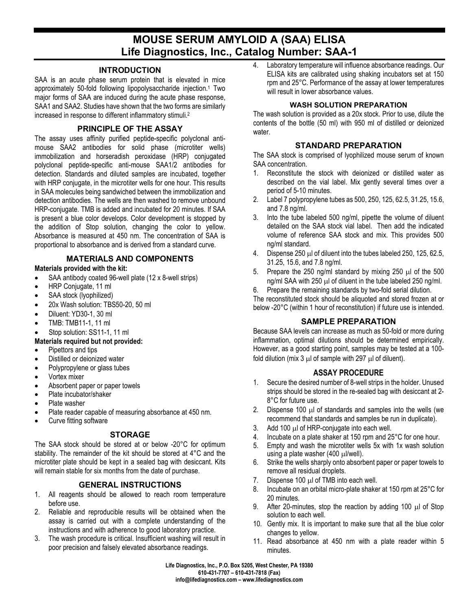# **MOUSE SERUM AMYLOID A (SAA) ELISA Life Diagnostics, Inc., Catalog Number: SAA-1**

#### **INTRODUCTION**

SAA is an acute phase serum protein that is elevated in mice approximately 50-fold following lipopolysaccharide injection.1 Two major forms of SAA are induced during the acute phase response, SAA1 and SAA2. Studies have shown that the two forms are similarly increased in response to different inflammatory stimuli.2

## **PRINCIPLE OF THE ASSAY**

The assay uses affinity purified peptide-specific polyclonal antimouse SAA2 antibodies for solid phase (microtiter wells) immobilization and horseradish peroxidase (HRP) conjugated polyclonal peptide-specific anti-mouse SAA1/2 antibodies for detection. Standards and diluted samples are incubated, together with HRP conjugate, in the microtiter wells for one hour. This results in SAA molecules being sandwiched between the immobilization and detection antibodies. The wells are then washed to remove unbound HRP-conjugate. TMB is added and incubated for 20 minutes. If SAA is present a blue color develops. Color development is stopped by the addition of Stop solution, changing the color to yellow. Absorbance is measured at 450 nm. The concentration of SAA is proportional to absorbance and is derived from a standard curve.

## **MATERIALS AND COMPONENTS**

### **Materials provided with the kit:**

- SAA antibody coated 96-well plate (12 x 8-well strips)
- HRP Conjugate, 11 ml
- SAA stock (lyophilized)
- 20x Wash solution: TBS50-20, 50 ml
- Diluent: YD30-1, 30 ml
- TMB: TMB11-1, 11 ml
- Stop solution: SS11-1, 11 ml

#### **Materials required but not provided:**

- Pipettors and tips
- Distilled or deionized water
- Polypropylene or glass tubes
- Vortex mixer
- Absorbent paper or paper towels
- Plate incubator/shaker
- Plate washer
- Plate reader capable of measuring absorbance at 450 nm.
- Curve fitting software

## **STORAGE**

The SAA stock should be stored at or below -20°C for optimum stability. The remainder of the kit should be stored at 4°C and the microtiter plate should be kept in a sealed bag with desiccant. Kits will remain stable for six months from the date of purchase.

## **GENERAL INSTRUCTIONS**

- 1. All reagents should be allowed to reach room temperature before use.
- 2. Reliable and reproducible results will be obtained when the assay is carried out with a complete understanding of the instructions and with adherence to good laboratory practice.
- 3. The wash procedure is critical. Insufficient washing will result in poor precision and falsely elevated absorbance readings.

4. Laboratory temperature will influence absorbance readings. Our ELISA kits are calibrated using shaking incubators set at 150 rpm and 25°C. Performance of the assay at lower temperatures will result in lower absorbance values.

#### **WASH SOLUTION PREPARATION**

The wash solution is provided as a 20x stock. Prior to use, dilute the contents of the bottle (50 ml) with 950 ml of distilled or deionized water.

## **STANDARD PREPARATION**

The SAA stock is comprised of lyophilized mouse serum of known SAA concentration.

- 1. Reconstitute the stock with deionized or distilled water as described on the vial label. Mix gently several times over a period of 5-10 minutes.
- 2. Label 7 polypropylene tubes as 500, 250, 125, 62.5, 31.25, 15.6, and 7.8 ng/ml.
- 3. Into the tube labeled 500 ng/ml, pipette the volume of diluent detailed on the SAA stock vial label. Then add the indicated volume of reference SAA stock and mix. This provides 500 ng/ml standard.
- 4. Dispense 250 µl of diluent into the tubes labeled 250, 125, 62.5, 31.25, 15.6, and 7.8 ng/ml.
- 5. Prepare the 250 ng/ml standard by mixing 250  $\mu$ l of the 500 ng/ml SAA with 250 µl of diluent in the tube labeled 250 ng/ml.
- 6. Prepare the remaining standards by two-fold serial dilution.

The reconstituted stock should be aliquoted and stored frozen at or below -20°C (within 1 hour of reconstitution) if future use is intended.

## **SAMPLE PREPARATION**

Because SAA levels can increase as much as 50-fold or more during inflammation, optimal dilutions should be determined empirically. However, as a good starting point, samples may be tested at a 100 fold dilution (mix 3 µl of sample with 297 µl of diluent).

## **ASSAY PROCEDURE**

- 1. Secure the desired number of 8-well strips in the holder. Unused strips should be stored in the re-sealed bag with desiccant at 2- 8°C for future use.
- 2. Dispense 100  $\mu$  of standards and samples into the wells (we recommend that standards and samples be run in duplicate).
- 3. Add 100 µl of HRP-conjugate into each well.
- 4. Incubate on a plate shaker at 150 rpm and 25°C for one hour.
- 5. Empty and wash the microtiter wells 5x with 1x wash solution using a plate washer (400 µl/well).
- 6. Strike the wells sharply onto absorbent paper or paper towels to remove all residual droplets.
- 7. Dispense 100 µl of TMB into each well.
- 8. Incubate on an orbital micro-plate shaker at 150 rpm at 25°C for 20 minutes.
- 9. After 20-minutes, stop the reaction by adding 100 µl of Stop solution to each well.
- 10. Gently mix. It is important to make sure that all the blue color changes to yellow.
- 11. Read absorbance at 450 nm with a plate reader within 5 minutes.

**Life Diagnostics, Inc., P.O. Box 5205, West Chester, PA 19380 610-431-7707 – 610-431-7818 (Fax) info@lifediagnostics.com – www.lifediagnostics.com**